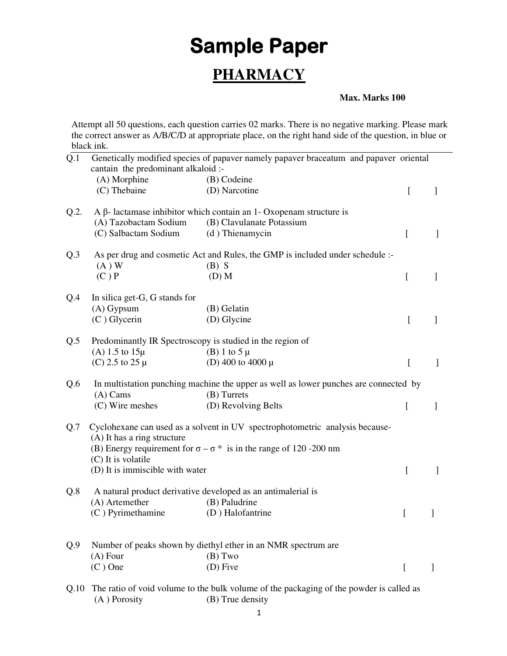## **Sample Paper PHARMACY**

## **Max. Marks 100**

Attempt all 50 questions, each question carries 02 marks. There is no negative marking. Please mark the correct answer as A/B/C/D at appropriate place, on the right hand side of the question, in blue or black ink.

| Q.1     | Genetically modified species of papaver namely papaver braceatum and papaver oriental<br>cantain the predominant alkaloid :- |                                                                                      |                |              |  |
|---------|------------------------------------------------------------------------------------------------------------------------------|--------------------------------------------------------------------------------------|----------------|--------------|--|
|         | (A) Morphine                                                                                                                 | (B) Codeine                                                                          |                |              |  |
|         | (C) Thebaine                                                                                                                 | (D) Narcotine                                                                        | [              | ]            |  |
| $Q.2$ . |                                                                                                                              | $A \beta$ - lactamase inhibitor which contain an 1- Oxopenam structure is            |                |              |  |
|         | (A) Tazobactam Sodium                                                                                                        | (B) Clavulanate Potassium                                                            |                |              |  |
|         | (C) Salbactam Sodium                                                                                                         | (d) Thienamycin                                                                      | I              | $\mathbf{I}$ |  |
| Q.3     | As per drug and cosmetic Act and Rules, the GMP is included under schedule :-                                                |                                                                                      |                |              |  |
|         | $(A)$ W<br>(C)P                                                                                                              | $(B)$ S<br>$(D)$ M                                                                   | <sub>[</sub>   | $\mathbf{I}$ |  |
|         |                                                                                                                              |                                                                                      |                |              |  |
| Q.4     | In silica get-G, G stands for                                                                                                |                                                                                      |                |              |  |
|         | $(A)$ Gypsum                                                                                                                 | (B) Gelatin                                                                          |                |              |  |
|         | $(C)$ Glycerin                                                                                                               | (D) Glycine                                                                          | [              | ]            |  |
| Q.5     | Predominantly IR Spectroscopy is studied in the region of                                                                    |                                                                                      |                |              |  |
|         | (A) 1.5 to $15\mu$                                                                                                           | (B) 1 to 5 $\mu$                                                                     |                |              |  |
|         | (C) 2.5 to 25 $\mu$                                                                                                          | (D) 400 to 4000 $\mu$                                                                | <sub>[</sub>   | $\mathbf{I}$ |  |
| Q.6     |                                                                                                                              | In multistation punching machine the upper as well as lower punches are connected by |                |              |  |
|         | $(A)$ Cams                                                                                                                   | (B) Turrets                                                                          |                |              |  |
|         | (C) Wire meshes                                                                                                              | (D) Revolving Belts                                                                  | $\overline{[}$ | 1            |  |
| Q.7     | Cyclohexane can used as a solvent in UV spectrophotometric analysis because-<br>(A) It has a ring structure                  |                                                                                      |                |              |  |
|         | (C) It is volatile                                                                                                           | (B) Energy requirement for $\sigma - \sigma^*$ is in the range of 120 -200 nm        |                |              |  |
|         | (D) It is immiscible with water                                                                                              |                                                                                      | ſ              | $\mathbf{1}$ |  |
| Q.8     | A natural product derivative developed as an antimalerial is                                                                 |                                                                                      |                |              |  |
|         | (A) Artemether                                                                                                               | (B) Paludrine                                                                        |                |              |  |
|         | (C) Pyrimethamine                                                                                                            | (D) Halofantrine                                                                     | L              | J            |  |
| Q.9     | Number of peaks shown by diethyl ether in an NMR spectrum are                                                                |                                                                                      |                |              |  |
|         | $(A)$ Four                                                                                                                   | $(B)$ Two                                                                            |                |              |  |
|         | $(C)$ One                                                                                                                    | (D) Five                                                                             | $\overline{[}$ | $\mathbf{1}$ |  |
|         |                                                                                                                              |                                                                                      |                |              |  |
| Q.10    | The ratio of void volume to the bulk volume of the packaging of the powder is called as                                      |                                                                                      |                |              |  |
|         | (A) Porosity                                                                                                                 | (B) True density                                                                     |                |              |  |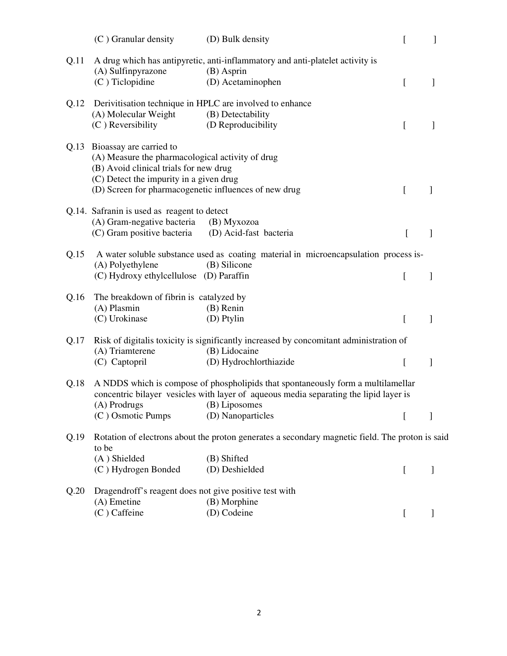|      | $(C)$ Granular density                                                                                                                                                                                                         | (D) Bulk density                                                                                                 | $\mathbf{r}$ | 1 |
|------|--------------------------------------------------------------------------------------------------------------------------------------------------------------------------------------------------------------------------------|------------------------------------------------------------------------------------------------------------------|--------------|---|
| Q.11 | (A) Sulfinpyrazone<br>$(C)$ Ticlopidine                                                                                                                                                                                        | A drug which has antipyretic, anti-inflammatory and anti-platelet activity is<br>(B) Asprin<br>(D) Acetaminophen | <sub>[</sub> | 1 |
|      |                                                                                                                                                                                                                                |                                                                                                                  |              |   |
| Q.12 | Derivitisation technique in HPLC are involved to enhance                                                                                                                                                                       |                                                                                                                  |              |   |
|      | (A) Molecular Weight<br>$(C)$ Reversibility                                                                                                                                                                                    | (B) Detectability<br>(D Reproducibility)                                                                         | L            | 1 |
|      | Q.13 Bioassay are carried to<br>(A) Measure the pharmacological activity of drug<br>(B) Avoid clinical trials for new drug<br>(C) Detect the impurity in a given drug<br>(D) Screen for pharmacogenetic influences of new drug |                                                                                                                  | L            |   |
|      | Q.14. Safranin is used as reagent to detect                                                                                                                                                                                    |                                                                                                                  |              |   |
|      | (A) Gram-negative bacteria                                                                                                                                                                                                     | (B) Myxozoa                                                                                                      |              |   |
|      | (C) Gram positive bacteria                                                                                                                                                                                                     | (D) Acid-fast bacteria                                                                                           | [            | 1 |
| Q.15 | A water soluble substance used as coating material in microencapsulation process is-<br>(A) Polyethylene<br>(B) Silicone                                                                                                       |                                                                                                                  |              |   |
|      | (C) Hydroxy ethylcellulose (D) Paraffin                                                                                                                                                                                        |                                                                                                                  | L            | 1 |
|      |                                                                                                                                                                                                                                |                                                                                                                  |              |   |
| Q.16 | The breakdown of fibrin is catalyzed by                                                                                                                                                                                        |                                                                                                                  |              |   |
|      | (A) Plasmin<br>(C) Urokinase                                                                                                                                                                                                   | $(B)$ Renin<br>(D) Ptylin                                                                                        | L            | 1 |
|      |                                                                                                                                                                                                                                |                                                                                                                  |              |   |
| Q.17 |                                                                                                                                                                                                                                | Risk of digitalis toxicity is significantly increased by concomitant administration of                           |              |   |
|      | (A) Triamterene                                                                                                                                                                                                                | (B) Lidocaine                                                                                                    |              |   |
|      | (C) Captopril                                                                                                                                                                                                                  | (D) Hydrochlorthiazide                                                                                           | L            | 1 |
| Q.18 | A NDDS which is compose of phospholipids that spontaneously form a multilamellar<br>concentric bilayer vesicles with layer of aqueous media separating the lipid layer is                                                      |                                                                                                                  |              |   |
|      | (C) Osmotic Pumps                                                                                                                                                                                                              | (A) Prodrugs (B) Liposomes<br>(D) Nanoparticles                                                                  |              |   |
|      |                                                                                                                                                                                                                                |                                                                                                                  | L            | ] |
| Q.19 | Rotation of electrons about the proton generates a secondary magnetic field. The proton is said<br>to be                                                                                                                       |                                                                                                                  |              |   |
|      | (A) Shielded                                                                                                                                                                                                                   | (B) Shifted                                                                                                      |              |   |
|      | (C) Hydrogen Bonded                                                                                                                                                                                                            | (D) Deshielded                                                                                                   | L            | J |
| Q.20 | Dragendroff's reagent does not give positive test with                                                                                                                                                                         |                                                                                                                  |              |   |
|      | $(A)$ Emetine                                                                                                                                                                                                                  | (B) Morphine                                                                                                     |              |   |
|      | (C) Caffeine                                                                                                                                                                                                                   | (D) Codeine                                                                                                      |              |   |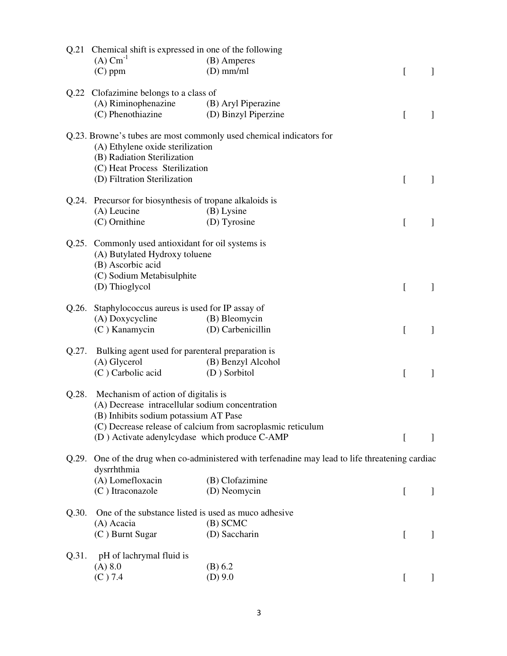| Q.21                                   | Chemical shift is expressed in one of the following                                                                                   |                                                                     |              |              |  |
|----------------------------------------|---------------------------------------------------------------------------------------------------------------------------------------|---------------------------------------------------------------------|--------------|--------------|--|
|                                        | $(A)$ Cm <sup>-1</sup>                                                                                                                | (B) Amperes                                                         |              |              |  |
|                                        | $(C)$ ppm                                                                                                                             | $(D)$ mm/ml                                                         | L            | 1            |  |
| Q.22 Clofazimine belongs to a class of |                                                                                                                                       |                                                                     |              |              |  |
|                                        | (A) Riminophenazine                                                                                                                   | (B) Aryl Piperazine                                                 |              |              |  |
|                                        | (C) Phenothiazine                                                                                                                     | (D) Binzyl Piperzine                                                | t            | $\mathbf{I}$ |  |
|                                        | (A) Ethylene oxide sterilization<br>(B) Radiation Sterilization<br>(C) Heat Process Sterilization                                     | Q.23. Browne's tubes are most commonly used chemical indicators for |              |              |  |
|                                        | (D) Filtration Sterilization                                                                                                          |                                                                     | $\lfloor$    |              |  |
| Q.24.                                  | Precursor for biosynthesis of tropane alkaloids is                                                                                    |                                                                     |              |              |  |
|                                        | (A) Leucine                                                                                                                           | (B) Lysine                                                          |              |              |  |
|                                        | (C) Ornithine                                                                                                                         | (D) Tyrosine                                                        | <sub>[</sub> | 1            |  |
|                                        |                                                                                                                                       |                                                                     |              |              |  |
|                                        | Q.25. Commonly used antioxidant for oil systems is<br>(A) Butylated Hydroxy toluene<br>(B) Ascorbic acid<br>(C) Sodium Metabisulphite |                                                                     |              |              |  |
|                                        | (D) Thioglycol                                                                                                                        |                                                                     | $\Gamma$     | -1           |  |
| Q.26.                                  | Staphylococcus aureus is used for IP assay of                                                                                         |                                                                     |              |              |  |
|                                        | (A) Doxycycline                                                                                                                       | (B) Bleomycin                                                       |              |              |  |
|                                        | $(C)$ Kanamycin                                                                                                                       | (D) Carbenicillin                                                   | L            | $\mathbf{I}$ |  |
| Q.27.                                  |                                                                                                                                       |                                                                     |              |              |  |
|                                        | Bulking agent used for parenteral preparation is<br>(A) Glycerol<br>(B) Benzyl Alcohol                                                |                                                                     |              |              |  |
|                                        | (C) Carbolic acid                                                                                                                     | (D) Sorbitol                                                        | <sub>[</sub> | 1            |  |
|                                        |                                                                                                                                       |                                                                     |              |              |  |
| Q.28.                                  | Mechanism of action of digitalis is                                                                                                   |                                                                     |              |              |  |
|                                        | (A) Decrease intracellular sodium concentration                                                                                       |                                                                     |              |              |  |
|                                        | (B) Inhibits sodium potassium AT Pase                                                                                                 |                                                                     |              |              |  |
|                                        |                                                                                                                                       | (C) Decrease release of calcium from sacroplasmic reticulum         |              |              |  |
|                                        | (D) Activate adenylcydase which produce C-AMP                                                                                         |                                                                     | [            |              |  |
| Q.29.                                  | One of the drug when co-administered with terfenadine may lead to life threatening cardiac<br>dysrrhthmia                             |                                                                     |              |              |  |
|                                        | (A) Lomefloxacin                                                                                                                      | (B) Clofazimine                                                     |              |              |  |
|                                        | (C) Itraconazole                                                                                                                      | (D) Neomycin                                                        | $\Gamma$     |              |  |
| Q.30.                                  | One of the substance listed is used as muco adhesive                                                                                  |                                                                     |              |              |  |
|                                        | (A) Acacia                                                                                                                            | $(B)$ SCMC                                                          |              |              |  |
|                                        | (C) Burnt Sugar                                                                                                                       | (D) Saccharin                                                       | L            | ]            |  |
| Q.31.                                  | pH of lachrymal fluid is                                                                                                              |                                                                     |              |              |  |
|                                        | (A) 8.0                                                                                                                               | (B) 6.2                                                             |              |              |  |
|                                        | $(C)$ 7.4                                                                                                                             | $(D)$ 9.0                                                           | L            | $\mathbf{I}$ |  |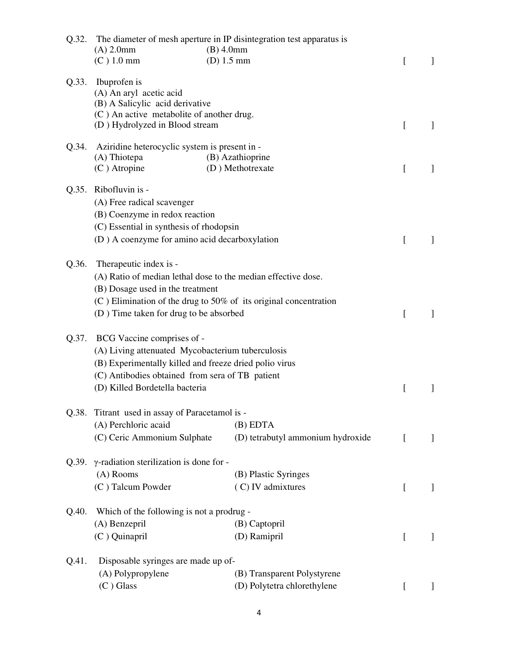| Q.32. | $(A)$ 2.0mm<br>$(C)$ 1.0 mm                                                                                                                                                                                                                 | The diameter of mesh aperture in IP disintegration test apparatus is<br>$(B)$ 4.0mm<br>$(D)$ 1.5 mm | [        | $\mathbf{I}$ |
|-------|---------------------------------------------------------------------------------------------------------------------------------------------------------------------------------------------------------------------------------------------|-----------------------------------------------------------------------------------------------------|----------|--------------|
| Q.33. | Ibuprofen is<br>(A) An aryl acetic acid<br>(B) A Salicylic acid derivative<br>(C) An active metabolite of another drug.<br>(D) Hydrolyzed in Blood stream                                                                                   |                                                                                                     | [        | 1            |
| Q.34. | Aziridine heterocyclic system is present in -<br>(A) Thiotepa<br>(C) Atropine                                                                                                                                                               | (B) Azathioprine<br>(D) Methotrexate                                                                | [        | $\mathbf{I}$ |
| Q.35. | Ribofluvin is -<br>(A) Free radical scavenger<br>(B) Coenzyme in redox reaction<br>(C) Essential in synthesis of rhodopsin<br>(D) A coenzyme for amino acid decarboxylation                                                                 |                                                                                                     | [        | $\mathbf{1}$ |
| Q.36. | Therapeutic index is -<br>(A) Ratio of median lethal dose to the median effective dose.<br>(B) Dosage used in the treatment<br>$(C)$ Elimination of the drug to 50% of its original concentration<br>(D) Time taken for drug to be absorbed |                                                                                                     | L        | $\mathbf{I}$ |
| Q.37. | BCG Vaccine comprises of -<br>(A) Living attenuated Mycobacterium tuberculosis<br>(B) Experimentally killed and freeze dried polio virus<br>(C) Antibodies obtained from sera of TB patient<br>(D) Killed Bordetella bacteria               |                                                                                                     | ſ        | 1            |
|       | Q.38. Titrant used in assay of Paracetamol is -<br>(A) Perchloric acaid<br>(C) Ceric Ammonium Sulphate                                                                                                                                      | $(B)$ EDTA<br>(D) tetrabutyl ammonium hydroxide                                                     | $\Gamma$ | $\mathbf{I}$ |
| Q.39. | γ-radiation sterilization is done for -<br>(A) Rooms<br>(C) Talcum Powder                                                                                                                                                                   | (B) Plastic Syringes<br>(C) IV admixtures                                                           | L        | $\perp$      |
| Q.40. | Which of the following is not a prodrug -<br>(A) Benzepril<br>(C) Quinapril                                                                                                                                                                 | (B) Captopril<br>(D) Ramipril                                                                       | [        | $\perp$      |
| Q.41. | Disposable syringes are made up of-<br>(A) Polypropylene<br>$(C)$ Glass                                                                                                                                                                     | (B) Transparent Polystyrene<br>(D) Polytetra chlorethylene                                          | L        | $\perp$      |